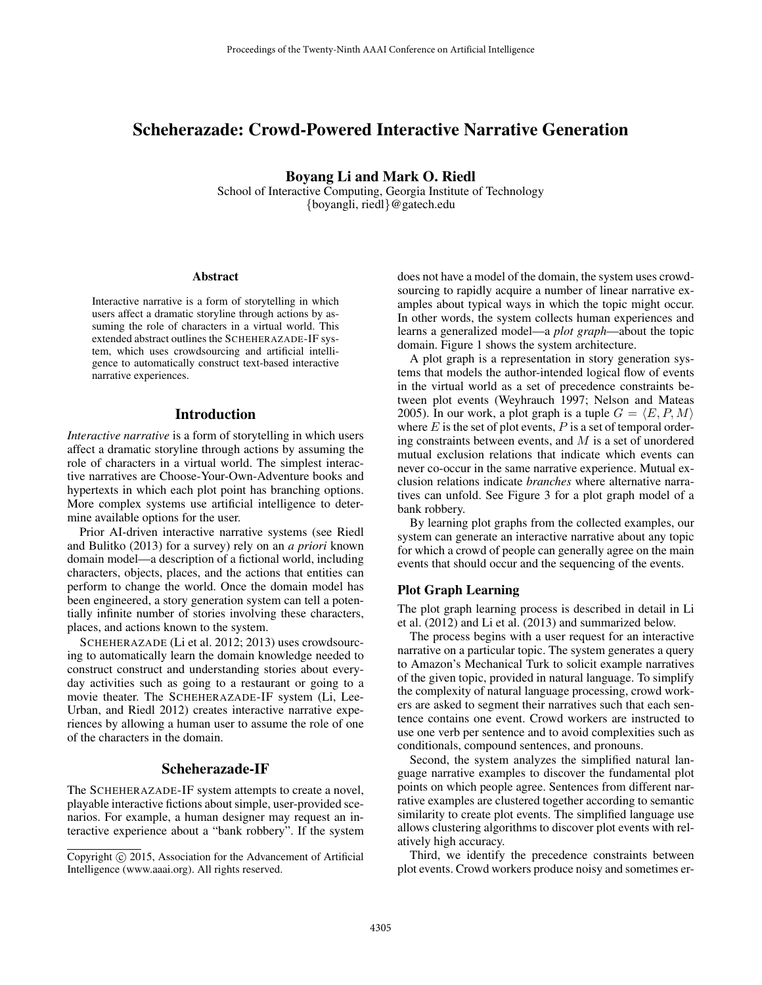# Scheherazade: Crowd-Powered Interactive Narrative Generation

Boyang Li and Mark O. Riedl

School of Interactive Computing, Georgia Institute of Technology {boyangli, riedl}@gatech.edu

#### Abstract

Interactive narrative is a form of storytelling in which users affect a dramatic storyline through actions by assuming the role of characters in a virtual world. This extended abstract outlines the SCHEHERAZADE-IF system, which uses crowdsourcing and artificial intelligence to automatically construct text-based interactive narrative experiences.

# Introduction

*Interactive narrative* is a form of storytelling in which users affect a dramatic storyline through actions by assuming the role of characters in a virtual world. The simplest interactive narratives are Choose-Your-Own-Adventure books and hypertexts in which each plot point has branching options. More complex systems use artificial intelligence to determine available options for the user.

Prior AI-driven interactive narrative systems (see Riedl and Bulitko (2013) for a survey) rely on an *a priori* known domain model—a description of a fictional world, including characters, objects, places, and the actions that entities can perform to change the world. Once the domain model has been engineered, a story generation system can tell a potentially infinite number of stories involving these characters, places, and actions known to the system.

SCHEHERAZADE (Li et al. 2012; 2013) uses crowdsourcing to automatically learn the domain knowledge needed to construct construct and understanding stories about everyday activities such as going to a restaurant or going to a movie theater. The SCHEHERAZADE-IF system (Li, Lee-Urban, and Riedl 2012) creates interactive narrative experiences by allowing a human user to assume the role of one of the characters in the domain.

## Scheherazade-IF

The SCHEHERAZADE-IF system attempts to create a novel, playable interactive fictions about simple, user-provided scenarios. For example, a human designer may request an interactive experience about a "bank robbery". If the system does not have a model of the domain, the system uses crowdsourcing to rapidly acquire a number of linear narrative examples about typical ways in which the topic might occur. In other words, the system collects human experiences and learns a generalized model—a *plot graph*—about the topic domain. Figure 1 shows the system architecture.

A plot graph is a representation in story generation systems that models the author-intended logical flow of events in the virtual world as a set of precedence constraints between plot events (Weyhrauch 1997; Nelson and Mateas 2005). In our work, a plot graph is a tuple  $G = \langle E, P, M \rangle$ where  $E$  is the set of plot events,  $P$  is a set of temporal ordering constraints between events, and  $M$  is a set of unordered mutual exclusion relations that indicate which events can never co-occur in the same narrative experience. Mutual exclusion relations indicate *branches* where alternative narratives can unfold. See Figure 3 for a plot graph model of a bank robbery.

By learning plot graphs from the collected examples, our system can generate an interactive narrative about any topic for which a crowd of people can generally agree on the main events that should occur and the sequencing of the events.

#### Plot Graph Learning

The plot graph learning process is described in detail in Li et al. (2012) and Li et al. (2013) and summarized below.

The process begins with a user request for an interactive narrative on a particular topic. The system generates a query to Amazon's Mechanical Turk to solicit example narratives of the given topic, provided in natural language. To simplify the complexity of natural language processing, crowd workers are asked to segment their narratives such that each sentence contains one event. Crowd workers are instructed to use one verb per sentence and to avoid complexities such as conditionals, compound sentences, and pronouns.

Second, the system analyzes the simplified natural language narrative examples to discover the fundamental plot points on which people agree. Sentences from different narrative examples are clustered together according to semantic similarity to create plot events. The simplified language use allows clustering algorithms to discover plot events with relatively high accuracy.

Third, we identify the precedence constraints between plot events. Crowd workers produce noisy and sometimes er-

Copyright  $\odot$  2015, Association for the Advancement of Artificial Intelligence (www.aaai.org). All rights reserved.